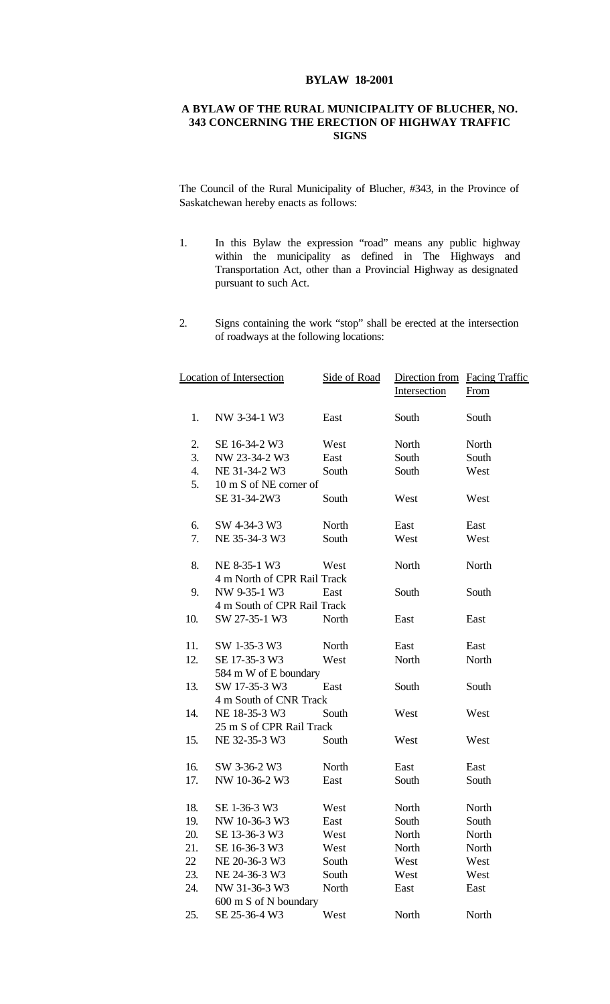## **BYLAW 18-2001**

## **A BYLAW OF THE RURAL MUNICIPALITY OF BLUCHER, NO. 343 CONCERNING THE ERECTION OF HIGHWAY TRAFFIC SIGNS**

The Council of the Rural Municipality of Blucher, #343, in the Province of Saskatchewan hereby enacts as follows:

- 1. In this Bylaw the expression "road" means any public highway within the municipality as defined in The Highways and Transportation Act, other than a Provincial Highway as designated pursuant to such Act.
- 2. Signs containing the work "stop" shall be erected at the intersection of roadways at the following locations:

| Location of Intersection |                             | Side of Road | Direction from Facing Traffic |       |  |  |
|--------------------------|-----------------------------|--------------|-------------------------------|-------|--|--|
|                          |                             |              | Intersection                  | From  |  |  |
| 1.                       | NW 3-34-1 W3                | East         | South                         | South |  |  |
| 2.                       | SE 16-34-2 W3               | West         | North                         | North |  |  |
| 3.                       | NW 23-34-2 W3               | East         | South                         | South |  |  |
| 4.                       | NE 31-34-2 W3               | South        | South                         | West  |  |  |
| 5.                       | 10 m S of NE corner of      |              |                               |       |  |  |
|                          | SE 31-34-2W3                | South        | West                          | West  |  |  |
| 6.                       | SW 4-34-3 W3                | North        | East                          | East  |  |  |
| 7.                       | NE 35-34-3 W3               | South        | West                          | West  |  |  |
| 8.                       | NE 8-35-1 W3                | West         | North                         | North |  |  |
|                          | 4 m North of CPR Rail Track |              |                               |       |  |  |
| 9.                       | NW 9-35-1 W3                | East         | South                         | South |  |  |
|                          | 4 m South of CPR Rail Track |              |                               |       |  |  |
| 10.                      | SW 27-35-1 W3               | North        | East                          | East  |  |  |
| 11.                      | SW 1-35-3 W3                | North        | East                          | East  |  |  |
| 12.                      | SE 17-35-3 W3               | West         | North                         | North |  |  |
|                          | 584 m W of E boundary       |              |                               |       |  |  |
| 13.                      | SW 17-35-3 W3               | East         | South                         | South |  |  |
|                          | 4 m South of CNR Track      |              |                               |       |  |  |
| 14.                      | NE 18-35-3 W3               | South        | West                          | West  |  |  |
|                          | 25 m S of CPR Rail Track    |              |                               |       |  |  |
| 15.                      | NE 32-35-3 W3               | South        | West                          | West  |  |  |
| 16.                      | SW 3-36-2 W3                | North        | East                          | East  |  |  |
| 17.                      | NW 10-36-2 W3               | East         | South                         | South |  |  |
| 18.                      | SE 1-36-3 W3                | West         | North                         | North |  |  |
| 19.                      | NW 10-36-3 W3               | East         | South                         | South |  |  |
| 20.                      | SE 13-36-3 W3               | West         | North                         | North |  |  |
| 21.                      | SE 16-36-3 W3               | West         | North                         | North |  |  |
| 22                       | NE 20-36-3 W3               | South        | West                          | West  |  |  |
| 23.                      | NE 24-36-3 W3               | South        | West                          | West  |  |  |
| 24.                      | NW 31-36-3 W3               | North        | East                          | East  |  |  |
|                          | 600 m S of N boundary       |              |                               |       |  |  |
| 25.                      | SE 25-36-4 W3               | West         | North                         | North |  |  |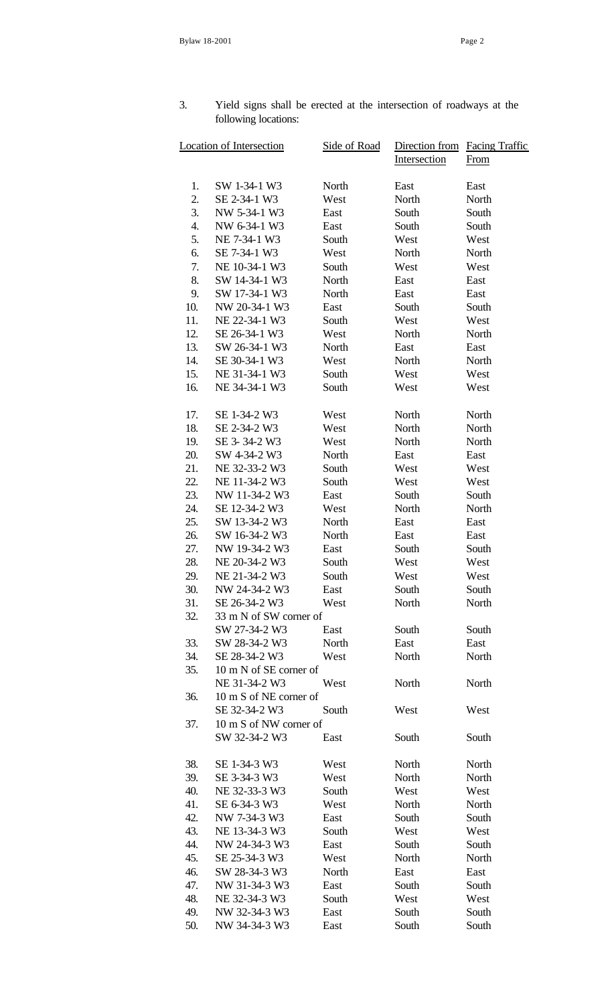## 3. Yield signs shall be erected at the intersection of roadways at the following locations:

| Location of Intersection |                        | Side of Road | Direction from<br>Intersection | Facing Traffic<br>From |
|--------------------------|------------------------|--------------|--------------------------------|------------------------|
| 1.                       | SW 1-34-1 W3           | North        | East                           | East                   |
| 2.                       | SE 2-34-1 W3           | West         | North                          | North                  |
| 3.                       | NW 5-34-1 W3           | East         | South                          | South                  |
| 4.                       | NW 6-34-1 W3           | East         | South                          | South                  |
| 5.                       | NE 7-34-1 W3           | South        | West                           | West                   |
| 6.                       | SE 7-34-1 W3           | West         | North                          | North                  |
| 7.                       | NE 10-34-1 W3          | South        | West                           | West                   |
| 8.                       | SW 14-34-1 W3          | North        | East                           | East                   |
| 9.                       | SW 17-34-1 W3          | North        | East                           | East                   |
| 10.                      | NW 20-34-1 W3          | East         | South                          | South                  |
| 11.                      | NE 22-34-1 W3          | South        | West                           | West                   |
| 12.                      | SE 26-34-1 W3          | West         | North                          | North                  |
| 13.                      | SW 26-34-1 W3          | North        | East                           | East                   |
| 14.                      | SE 30-34-1 W3          | West         | North                          | North                  |
| 15.                      | NE 31-34-1 W3          | South        | West                           | West                   |
| 16.                      | NE 34-34-1 W3          | South        | West                           | West                   |
|                          |                        |              |                                |                        |
| 17.                      | SE 1-34-2 W3           | West         | North                          | North                  |
| 18.                      | SE 2-34-2 W3           | West         | North                          | North                  |
| 19.                      | SE 3-34-2 W3           | West         | North                          | North                  |
| 20.                      | SW 4-34-2 W3           | North        | East                           | East                   |
| 21.                      | NE 32-33-2 W3          | South        | West                           | West                   |
| 22.                      | NE 11-34-2 W3          | South        | West                           | West                   |
| 23.                      | NW 11-34-2 W3          | East         | South                          | South                  |
| 24.                      | SE 12-34-2 W3          | West         | North                          | North                  |
| 25.                      | SW 13-34-2 W3          | North        | East                           | East                   |
| 26.                      | SW 16-34-2 W3          | North        | East                           | East                   |
| 27.                      | NW 19-34-2 W3          | East         | South                          | South                  |
| 28.                      | NE 20-34-2 W3          | South        | West                           | West                   |
| 29.                      | NE 21-34-2 W3          | South        | West                           | West                   |
| 30.                      | NW 24-34-2 W3          | East         | South                          | South                  |
| 31.                      | SE 26-34-2 W3          | West         | North                          | North                  |
| 32.                      | 33 m N of SW corner of |              |                                |                        |
|                          | SW 27-34-2 W3          | East         | South                          | South                  |
| 33.                      | SW 28-34-2 W3          | North        | East                           | East                   |
| 34.                      | SE 28-34-2 W3          | West         | North                          | North                  |
| 35.                      | 10 m N of SE corner of |              |                                |                        |
|                          | NE 31-34-2 W3          | West         | North                          | North                  |
| 36.                      | 10 m S of NE corner of |              |                                |                        |
|                          | SE 32-34-2 W3          | South        | West                           | West                   |
| 37.                      | 10 m S of NW corner of |              |                                |                        |
|                          | SW 32-34-2 W3          | East         | South                          | South                  |
| 38.                      | SE 1-34-3 W3           | West         | North                          | North                  |
| 39.                      | SE 3-34-3 W3           | West         | North                          | North                  |
| 40.                      | NE 32-33-3 W3          | South        | West                           | West                   |
| 41.                      | SE 6-34-3 W3           | West         | North                          | North                  |
| 42.                      | NW 7-34-3 W3           | East         | South                          | South                  |
| 43.                      | NE 13-34-3 W3          | South        | West                           | West                   |
| 44.                      | NW 24-34-3 W3          | East         | South                          | South                  |
| 45.                      | SE 25-34-3 W3          | West         | North                          | North                  |
| 46.                      | SW 28-34-3 W3          | North        | East                           | East                   |
| 47.                      | NW 31-34-3 W3          | East         | South                          | South                  |
| 48.                      | NE 32-34-3 W3          | South        | West                           | West                   |
| 49.                      | NW 32-34-3 W3          | East         | South                          | South                  |
| 50.                      | NW 34-34-3 W3          | East         | South                          | South                  |
|                          |                        |              |                                |                        |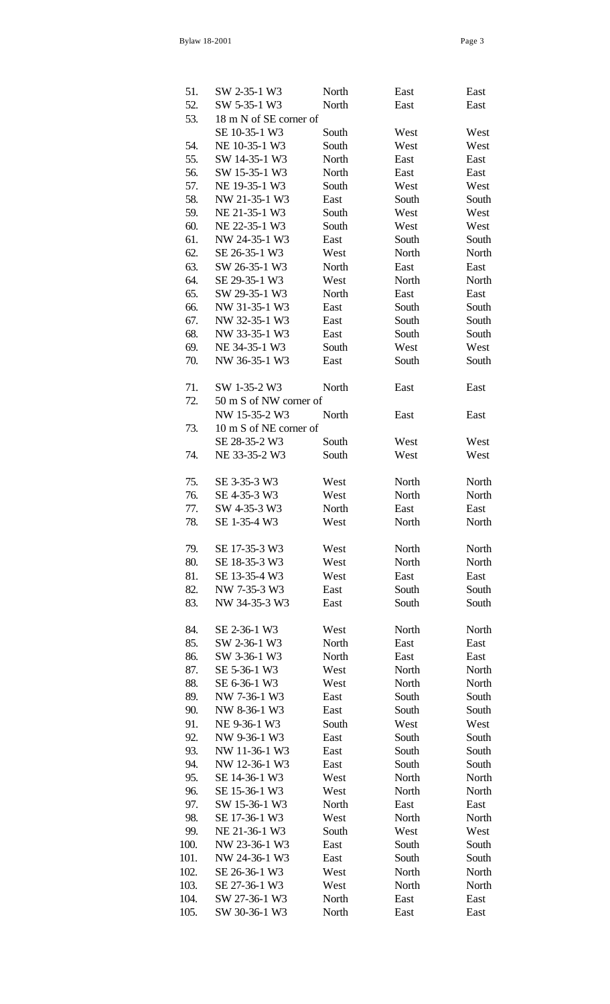| 51.  | SW 2-35-1 W3           | North | East  | East  |
|------|------------------------|-------|-------|-------|
| 52.  | SW 5-35-1 W3           | North | East  | East  |
| 53.  | 18 m N of SE corner of |       |       |       |
|      | SE 10-35-1 W3          | South | West  | West  |
| 54.  | NE 10-35-1 W3          | South | West  | West  |
| 55.  | SW 14-35-1 W3          | North | East  | East  |
| 56.  | SW 15-35-1 W3          | North | East  | East  |
| 57.  | NE 19-35-1 W3          | South | West  | West  |
| 58.  | NW 21-35-1 W3          | East  | South | South |
|      |                        |       | West  |       |
| 59.  | NE 21-35-1 W3          | South |       | West  |
| 60.  | NE 22-35-1 W3          | South | West  | West  |
| 61.  | NW 24-35-1 W3          | East  | South | South |
| 62.  | SE 26-35-1 W3          | West  | North | North |
| 63.  | SW 26-35-1 W3          | North | East  | East  |
| 64.  | SE 29-35-1 W3          | West  | North | North |
| 65.  | SW 29-35-1 W3          | North | East  | East  |
| 66.  | NW 31-35-1 W3          | East  | South | South |
| 67.  | NW 32-35-1 W3          | East  | South | South |
| 68.  | NW 33-35-1 W3          | East  | South | South |
| 69.  | NE 34-35-1 W3          | South | West  | West  |
| 70.  | NW 36-35-1 W3          | East  | South | South |
|      |                        |       |       |       |
| 71.  | SW 1-35-2 W3           | North | East  | East  |
| 72.  | 50 m S of NW corner of |       |       |       |
|      | NW 15-35-2 W3          | North | East  | East  |
| 73.  | 10 m S of NE corner of |       |       |       |
|      | SE 28-35-2 W3          | South | West  | West  |
| 74.  | NE 33-35-2 W3          | South | West  | West  |
|      |                        |       |       |       |
| 75.  | SE 3-35-3 W3           | West  | North | North |
| 76.  | SE 4-35-3 W3           | West  | North | North |
|      | SW 4-35-3 W3           |       |       |       |
| 77.  |                        | North | East  | East  |
| 78.  | SE 1-35-4 W3           | West  | North | North |
|      |                        |       |       |       |
| 79.  | SE 17-35-3 W3          | West  | North | North |
| 80.  | SE 18-35-3 W3          | West  | North | North |
| 81.  | SE 13-35-4 W3          | West  | East  | East  |
| 82.  | NW 7-35-3 W3           | East  | South | South |
| 83.  | NW 34-35-3 W3          | East  | South | South |
|      |                        |       |       |       |
| 84.  | SE 2-36-1 W3           | West  | North | North |
| 85.  | SW 2-36-1 W3           | North | East  | East  |
| 86.  | SW 3-36-1 W3           | North | East  | East  |
| 87.  | SE 5-36-1 W3           | West  | North | North |
| 88.  | SE 6-36-1 W3           | West  | North | North |
| 89.  | NW 7-36-1 W3           | East  | South | South |
| 90.  | NW 8-36-1 W3           | East  | South | South |
| 91.  | NE 9-36-1 W3           | South | West  | West  |
| 92.  | NW 9-36-1 W3           | East  | South | South |
| 93.  | NW 11-36-1 W3          | East  | South | South |
| 94.  | NW 12-36-1 W3          | East  | South | South |
| 95.  | SE 14-36-1 W3          | West  | North | North |
| 96.  | SE 15-36-1 W3          | West  | North | North |
| 97.  | SW 15-36-1 W3          | North | East  | East  |
| 98.  | SE 17-36-1 W3          | West  | North | North |
| 99.  | NE 21-36-1 W3          | South | West  | West  |
| 100. | NW 23-36-1 W3          | East  | South | South |
| 101. | NW 24-36-1 W3          | East  | South | South |
| 102. | SE 26-36-1 W3          | West  | North | North |
| 103. | SE 27-36-1 W3          |       |       |       |
|      | SW 27-36-1 W3          | West  | North | North |
| 104. |                        | North | East  | East  |
| 105. | SW 30-36-1 W3          | North | East  | East  |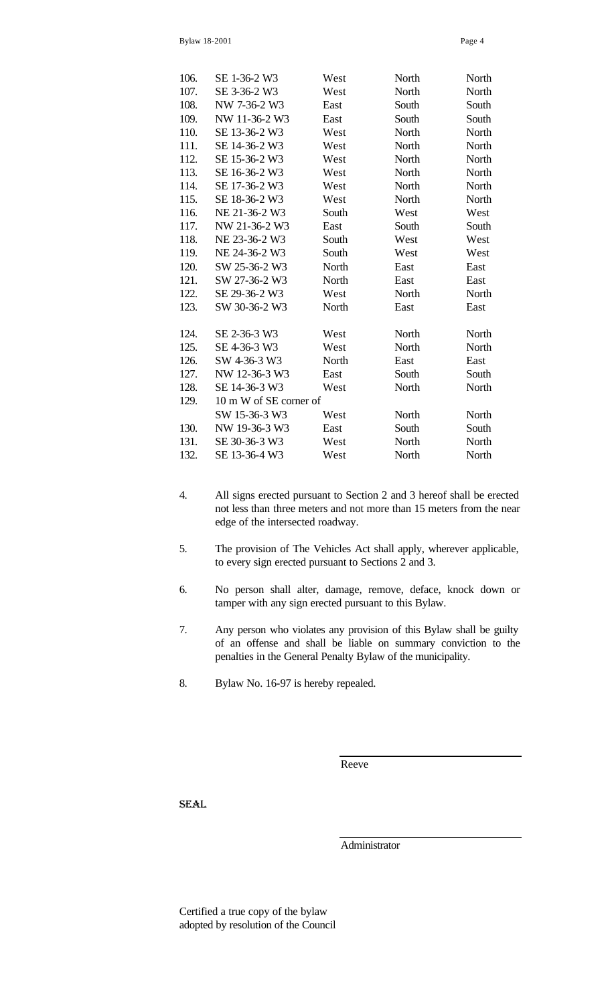| 106. | SE 1-36-2 W3           | West  | North | North |  |
|------|------------------------|-------|-------|-------|--|
| 107. | SE 3-36-2 W3           | West  | North | North |  |
| 108. | NW 7-36-2 W3           | East  | South | South |  |
| 109. | NW 11-36-2 W3          | East  | South | South |  |
| 110. | SE 13-36-2 W3          | West  | North | North |  |
| 111. | SE 14-36-2 W3          | West  | North | North |  |
| 112. | SE 15-36-2 W3          | West  | North | North |  |
| 113. | SE 16-36-2 W3          | West  | North | North |  |
| 114. | SE 17-36-2 W3          | West  | North | North |  |
| 115. | SE 18-36-2 W3          | West  | North | North |  |
| 116. | NE 21-36-2 W3          | South | West  | West  |  |
| 117. | NW 21-36-2 W3          | East  | South | South |  |
| 118. | NE 23-36-2 W3          | South | West  | West  |  |
| 119. | NE 24-36-2 W3          | South | West  | West  |  |
| 120. | SW 25-36-2 W3          | North | East  | East  |  |
| 121. | SW 27-36-2 W3          | North | East  | East  |  |
| 122. | SE 29-36-2 W3          | West  | North | North |  |
| 123. | SW 30-36-2 W3          | North | East  | East  |  |
| 124. | SE 2-36-3 W3           | West  | North | North |  |
| 125. | SE 4-36-3 W3           | West  | North | North |  |
| 126. | SW 4-36-3 W3           | North | East  | East  |  |
| 127. | NW 12-36-3 W3          | East  | South | South |  |
| 128. | SE 14-36-3 W3          | West  | North | North |  |
| 129. | 10 m W of SE corner of |       |       |       |  |
|      | SW 15-36-3 W3          | West  | North | North |  |
| 130. | NW 19-36-3 W3          | East  | South | South |  |
| 131. | SE 30-36-3 W3          | West  | North | North |  |
| 132. | SE 13-36-4 W3          | West  | North | North |  |

- 4. All signs erected pursuant to Section 2 and 3 hereof shall be erected not less than three meters and not more than 15 meters from the near edge of the intersected roadway.
- 5. The provision of The Vehicles Act shall apply, wherever applicable, to every sign erected pursuant to Sections 2 and 3.
- 6. No person shall alter, damage, remove, deface, knock down or tamper with any sign erected pursuant to this Bylaw.
- 7. Any person who violates any provision of this Bylaw shall be guilty of an offense and shall be liable on summary conviction to the penalties in the General Penalty Bylaw of the municipality.
- 8. Bylaw No. 16-97 is hereby repealed.

Reeve

**SEAL** 

Administrator

Certified a true copy of the bylaw adopted by resolution of the Council